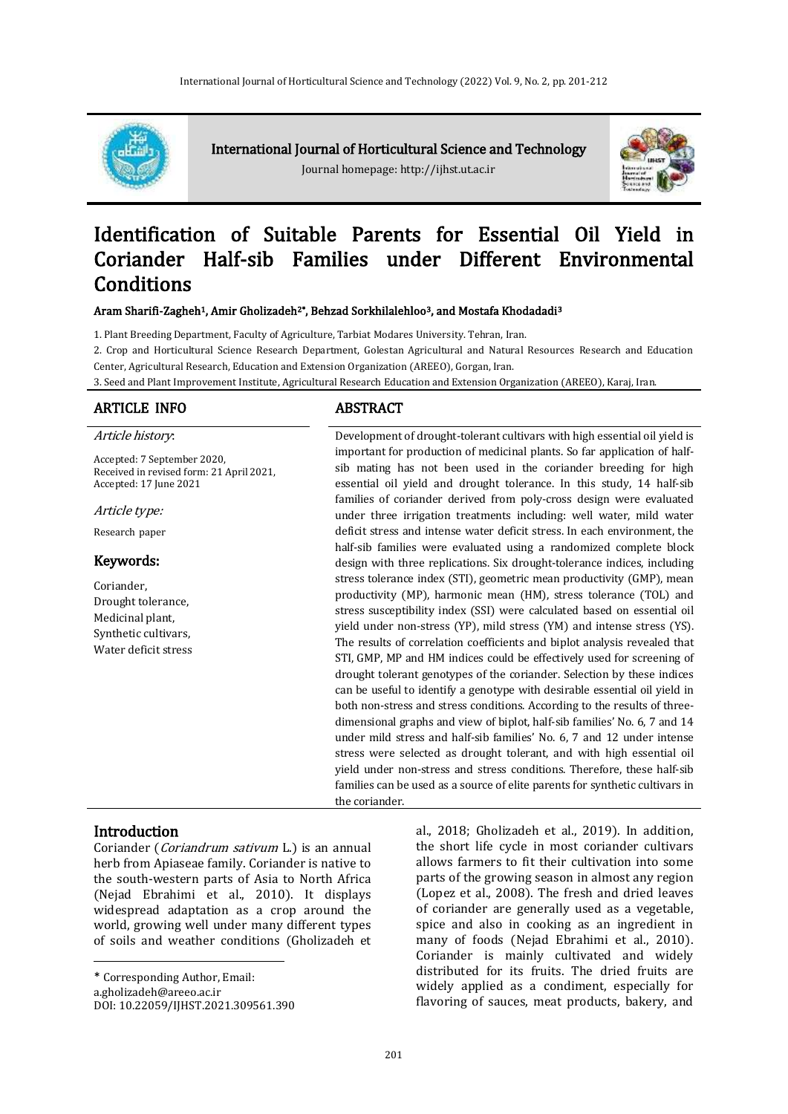

International Journal of Horticultural Science and Technology

Journal homepage: http://ijhst.ut.ac.ir



# Identification of Suitable Parents for Essential Oil Yield in Coriander Half-sib Families under Different Environmental Conditions

Aram Sharifi-Zagheh<sup>1</sup>, Amir Gholizadeh<sup>2\*</sup>, Behzad Sorkhilalehloo<sup>3</sup>, and Mostafa Khodadadi<sup>3</sup>

1. Plant Breeding Department, Faculty of Agriculture, Tarbiat Modares University. Tehran, Iran.

2. Crop and Horticultural Science Research Department, Golestan Agricultural and Natural Resources Research and Education Center, Agricultural Research, Education and Extension Organization (AREEO), Gorgan, Iran.

3. Seed and Plant Improvement Institute, Agricultural Research Education and Extension Organization (AREEO), Karaj, Iran.

### ARTICLE INFO ABSTRACT

#### Article history:

Accepted: 7 September 2020, Received in revised form: 21 April 2021, Accepted: 17 June 2021

Article type:

Research paper

# Keywords:

Coriander, Drought tolerance, Medicinal plant, Synthetic cultivars, Water deficit stress

Development of drought-tolerant cultivars with high essential oil yield is important for production of medicinal plants. So far application of halfsib mating has not been used in the coriander breeding for high essential oil yield and drought tolerance. In this study, 14 half-sib families of coriander derived from poly-cross design were evaluated under three irrigation treatments including: well water, mild water deficit stress and intense water deficit stress. In each environment, the half-sib families were evaluated using a randomized complete block design with three replications. Six drought-tolerance indices, including stress tolerance index (STI), geometric mean productivity (GMP), mean productivity (MP), harmonic mean (HM), stress tolerance (TOL) and stress susceptibility index (SSI) were calculated based on essential oil yield under non-stress (YP), mild stress (YM) and intense stress (YS). The results of correlation coefficients and biplot analysis revealed that STI, GMP, MP and HM indices could be effectively used for screening of drought tolerant genotypes of the coriander. Selection by these indices can be useful to identify a genotype with desirable essential oil yield in both non-stress and stress conditions. According to the results of threedimensional graphs and view of biplot, half-sib families' No. 6, 7 and 14 under mild stress and half-sib families' No. 6, 7 and 12 under intense stress were selected as drought tolerant, and with high essential oil yield under non-stress and stress conditions. Therefore, these half-sib families can be used as a source of elite parents for synthetic cultivars in the coriander.

#### **Introduction**

 $\overline{a}$ 

Coriander (Coriandrum sativum L.) is an annual herb from Apiaseae family. Coriander is native to the south-western parts of Asia to North Africa (Nejad Ebrahimi et al., 2010). It displays widespread adaptation as a crop around the world, growing well under many different types of soils and weather conditions (Gholizadeh et

\* Corresponding Author, Email:

a.gholizadeh@areeo.ac.ir

DOI: 10.22059/IJHST.2021.309561.390

al., 2018; Gholizadeh et al., 2019). In addition, the short life cycle in most coriander cultivars allows farmers to fit their cultivation into some parts of the growing season in almost any region (Lopez et al., 2008). The fresh and dried leaves of coriander are generally used as a vegetable, spice and also in cooking as an ingredient in many of foods (Nejad Ebrahimi et al., 2010). Coriander is mainly cultivated and widely distributed for its fruits. The dried fruits are widely applied as a condiment, especially for flavoring of sauces, meat products, bakery, and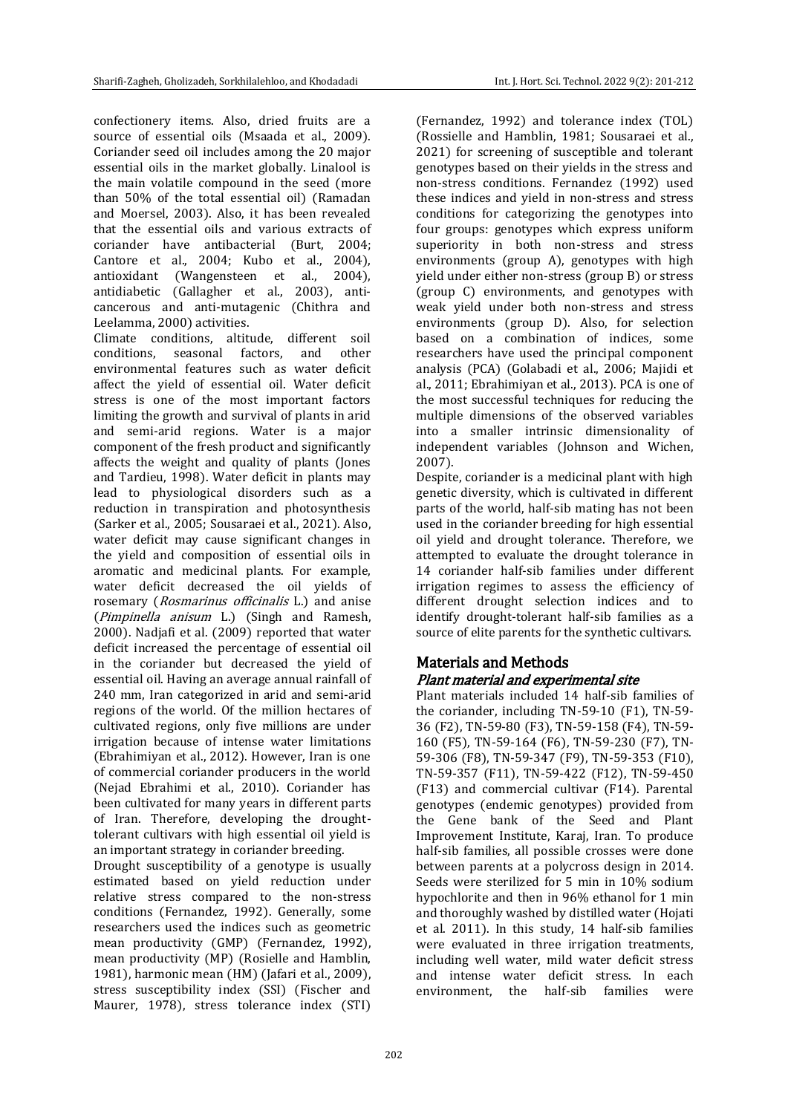confectionery items. Also, dried fruits are a source of essential oils (Msaada et al., 2009). Coriander seed oil includes among the 20 major essential oils in the market globally. Linalool is the main volatile compound in the seed (more than 50% of the total essential oil) (Ramadan and Moersel, 2003). Also, it has been revealed that the essential oils and various extracts of coriander have antibacterial (Burt, 2004; Cantore et al., 2004; Kubo et al., 2004), antioxidant (Wangensteen et al., 2004), antidiabetic (Gallagher et al., 2003), anticancerous and anti-mutagenic (Chithra and Leelamma, 2000) activities.

Climate conditions, altitude, different soil conditions, seasonal factors, and other environmental features such as water deficit affect the yield of essential oil. Water deficit stress is one of the most important factors limiting the growth and survival of plants in arid and semi-arid regions. Water is a major component of the fresh product and significantly affects the weight and quality of plants (Jones and Tardieu, 1998). Water deficit in plants may lead to physiological disorders such as a reduction in transpiration and photosynthesis (Sarker et al., 2005; Sousaraei et al., 2021). Also, water deficit may cause significant changes in the yield and composition of essential oils in aromatic and medicinal plants. For example, water deficit decreased the oil yields of rosemary (Rosmarinus officinalis L.) and anise (Pimpinella anisum L.) (Singh and Ramesh, 2000). Nadjafi et al. (2009) reported that water deficit increased the percentage of essential oil in the coriander but decreased the yield of essential oil. Having an average annual rainfall of 240 mm, Iran categorized in arid and semi-arid regions of the world. Of the million hectares of cultivated regions, only five millions are under irrigation because of intense water limitations (Ebrahimiyan et al., 2012). However, Iran is one of commercial coriander producers in the world (Nejad Ebrahimi et al., 2010). Coriander has been cultivated for many years in different parts of Iran. Therefore, developing the droughttolerant cultivars with high essential oil yield is an important strategy in coriander breeding.

Drought susceptibility of a genotype is usually estimated based on yield reduction under relative stress compared to the non-stress conditions (Fernandez, 1992). Generally, some researchers used the indices such as geometric mean productivity (GMP) (Fernandez, 1992), mean productivity (MP) (Rosielle and Hamblin, 1981), harmonic mean (HM) (Jafari et al., 2009), stress susceptibility index (SSI) (Fischer and Maurer, 1978), stress tolerance index (STI)

(Fernandez, 1992) and tolerance index (TOL) (Rossielle and Hamblin, 1981; Sousaraei et al., 2021) for screening of susceptible and tolerant genotypes based on their yields in the stress and non-stress conditions. Fernandez (1992) used these indices and yield in non-stress and stress conditions for categorizing the genotypes into four groups: genotypes which express uniform superiority in both non-stress and stress environments (group A), genotypes with high yield under either non-stress (group B) or stress (group C) environments, and genotypes with weak yield under both non-stress and stress environments (group D). Also, for selection based on a combination of indices, some researchers have used the principal component analysis (PCA) (Golabadi et al., 2006; Majidi et al., 2011; Ebrahimiyan et al., 2013). PCA is one of the most successful techniques for reducing the multiple dimensions of the observed variables into a smaller intrinsic dimensionality of independent variables (Johnson and Wichen, 2007).

Despite, coriander is a medicinal plant with high genetic diversity, which is cultivated in different parts of the world, half-sib mating has not been used in the coriander breeding for high essential oil yield and drought tolerance. Therefore, we attempted to evaluate the drought tolerance in 14 coriander half-sib families under different irrigation regimes to assess the efficiency of different drought selection indices and to identify drought-tolerant half-sib families as a source of elite parents for the synthetic cultivars.

# Materials and Methods Plant material and experimental site

Plant materials included 14 half-sib families of the coriander, including TN-59-10 (F1), TN-59- 36 (F2), TN-59-80 (F3), TN-59-158 (F4), TN-59- 160 (F5), TN-59-164 (F6), TN-59-230 (F7), TN-59-306 (F8), TN-59-347 (F9), TN-59-353 (F10), TN-59-357 (F11), TN-59-422 (F12), TN-59-450 (F13) and commercial cultivar (F14). Parental genotypes (endemic genotypes) provided from the Gene bank of the Seed and Plant Improvement Institute, Karaj, Iran. To produce half-sib families, all possible crosses were done between parents at a polycross design in 2014. Seeds were sterilized for 5 min in 10% sodium hypochlorite and then in 96% ethanol for 1 min and thoroughly washed by distilled water (Hojati et al. 2011). In this study, 14 half-sib families were evaluated in three irrigation treatments, including well water, mild water deficit stress and intense water deficit stress. In each environment, the half-sib families were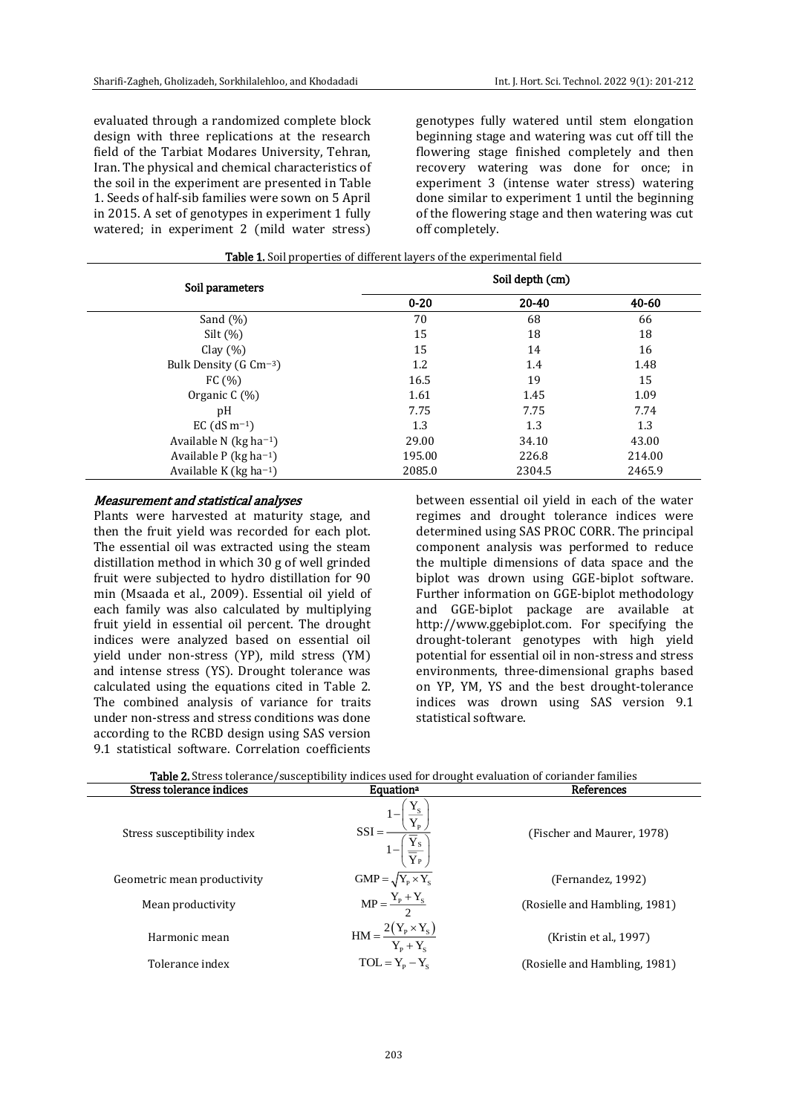evaluated through a randomized complete block design with three replications at the research field of the Tarbiat Modares University, Tehran, Iran. The physical and chemical characteristics of the soil in the experiment are presented in Table 1. Seeds of half-sib families were sown on 5 April in 2015. A set of genotypes in experiment 1 fully watered; in experiment 2 (mild water stress)

genotypes fully watered until stem elongation beginning stage and watering was cut off till the flowering stage finished completely and then recovery watering was done for once; in experiment 3 (intense water stress) watering done similar to experiment 1 until the beginning of the flowering stage and then watering was cut off completely.

| Soil parameters                       |          | Soil depth (cm) |        |
|---------------------------------------|----------|-----------------|--------|
|                                       | $0 - 20$ | 20-40           | 40-60  |
| Sand $(\% )$                          | 70       | 68              | 66     |
| Silt $(\%)$                           | 15       | 18              | 18     |
| Clay $(\% )$                          | 15       | 14              | 16     |
| Bulk Density (G $\rm cm^{-3}$ )       | 1.2      | 1.4             | 1.48   |
| FC $(% )$                             | 16.5     | 19              | 15     |
| Organic $C(\%)$                       | 1.61     | 1.45            | 1.09   |
| pH                                    | 7.75     | 7.75            | 7.74   |
| EC $(dS m^{-1})$                      | 1.3      | 1.3             | 1.3    |
| Available N ( $kg$ ha <sup>-1</sup> ) | 29.00    | 34.10           | 43.00  |
| Available P ( $kg$ ha <sup>-1</sup> ) | 195.00   | 226.8           | 214.00 |
| Available K ( $kg$ ha <sup>-1</sup> ) | 2085.0   | 2304.5          | 2465.9 |

Table 1. Soil properties of different layers of the experimental field

#### Measurement and statistical analyses

Plants were harvested at maturity stage, and then the fruit yield was recorded for each plot. The essential oil was extracted using the steam distillation method in which 30 g of well grinded fruit were subjected to hydro distillation for 90 min (Msaada et al., 2009). Essential oil yield of each family was also calculated by multiplying fruit yield in essential oil percent. The drought indices were analyzed based on essential oil yield under non-stress (YP), mild stress (YM) and intense stress (YS). Drought tolerance was calculated using the equations cited in Table 2. The combined analysis of variance for traits under non-stress and stress conditions was done according to the RCBD design using SAS version 9.1 statistical software. Correlation coefficients

between essential oil yield in each of the water regimes and drought tolerance indices were determined using SAS PROC CORR. The principal component analysis was performed to reduce the multiple dimensions of data space and the biplot was drown using GGE-biplot software. Further information on GGE-biplot methodology and GGE-biplot package are available at http://www.ggebiplot.com. For specifying the drought-tolerant genotypes with high yield potential for essential oil in non-stress and stress environments, three-dimensional graphs based on YP, YM, YS and the best drought-tolerance indices was drown using SAS version 9.1 statistical software.

| <b>Table 2.</b> Stress tolerance/susceptibility indices used for drought evaluation of coriander families |                                                                                                                             |                               |  |  |  |  |
|-----------------------------------------------------------------------------------------------------------|-----------------------------------------------------------------------------------------------------------------------------|-------------------------------|--|--|--|--|
| Stress tolerance indices                                                                                  | <b>Equation</b> <sup>a</sup>                                                                                                | References                    |  |  |  |  |
| Stress susceptibility index                                                                               | $\underline{Y_S}$<br>$\text{SSI} = \frac{1 - \left(\frac{1}{Y_{\text{p}}}\right)}{1 - \left(\frac{1}{Y_{\text{p}}}\right)}$ | (Fischer and Maurer, 1978)    |  |  |  |  |
| Geometric mean productivity                                                                               | $GMP = \sqrt{Y_P \times Y_S}$                                                                                               | (Fernandez, 1992)             |  |  |  |  |
| Mean productivity                                                                                         | $MP = \frac{Y_{P} + Y_{S}}{2}$                                                                                              | (Rosielle and Hambling, 1981) |  |  |  |  |
| Harmonic mean                                                                                             | $HM = \frac{2(Y_{P} \times Y_{S})}{Y_{P} + Y_{S}}$                                                                          | (Kristin et al., 1997)        |  |  |  |  |
| Tolerance index                                                                                           | $TOL = Y_p - Y_s$                                                                                                           | (Rosielle and Hambling, 1981) |  |  |  |  |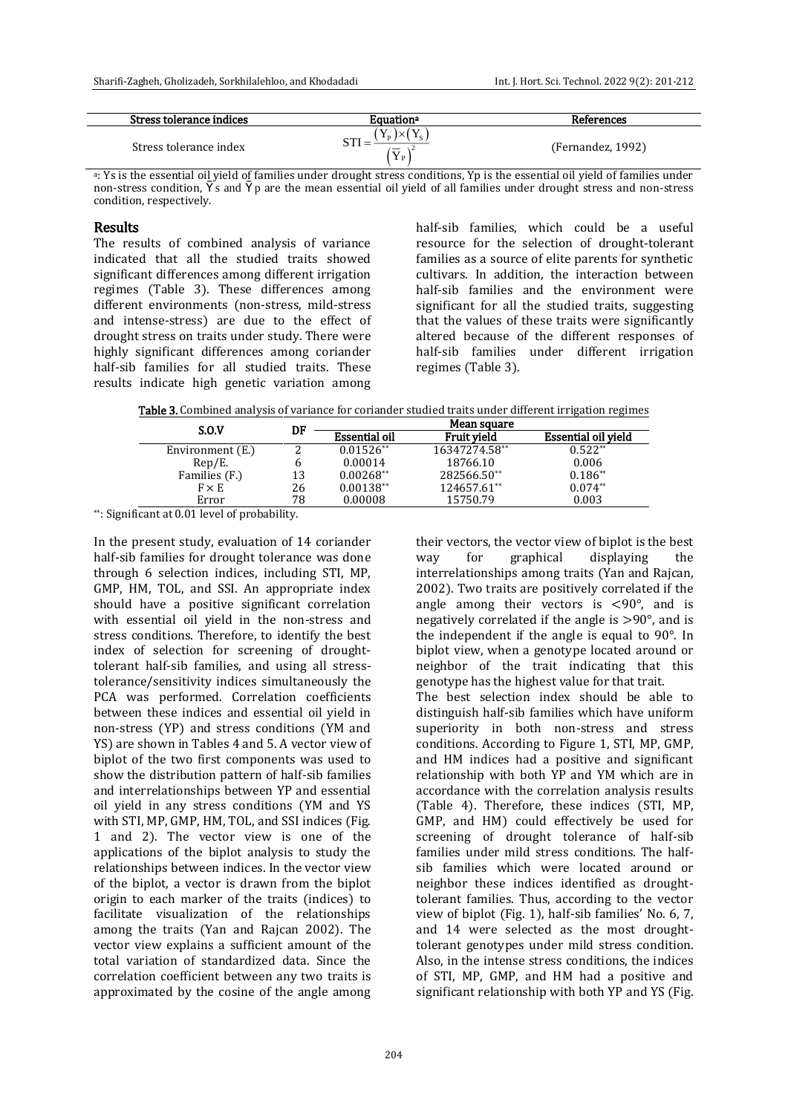| Stress tolerance indices | <b>Equation</b> ª                                                                                                                        | References        |
|--------------------------|------------------------------------------------------------------------------------------------------------------------------------------|-------------------|
| Stress tolerance index   | $\Delta$<br>$\mathbf{v}$<br>$\mathbf{1} \times \mathbf{0}$<br>ιn.<br><b>O TOT</b><br>$\overline{\phantom{a}}$<br>$\mathbf{I} \mathbf{P}$ | (Fernandez, 1992) |

<sup>a</sup>: Ys is the essential oil yield of families under drought stress conditions, Yp is the essential oil yield of families under non-stress condition,  $\Upsilon$  s and  $\Upsilon$  p are the mean essential oil yield of all families under drought stress and non-stress condition, respectively.

# Results

The results of combined analysis of variance indicated that all the studied traits showed significant differences among different irrigation regimes (Table 3). These differences among different environments (non-stress, mild-stress and intense-stress) are due to the effect of drought stress on traits under study. There were highly significant differences among coriander half-sib families for all studied traits. These results indicate high genetic variation among half-sib families, which could be a useful resource for the selection of drought-tolerant families as a source of elite parents for synthetic cultivars. In addition, the interaction between half-sib families and the environment were significant for all the studied traits, suggesting that the values of these traits were significantly altered because of the different responses of half-sib families under different irrigation regimes (Table 3).

Table 3. Combined analysis of variance for coriander studied traits under different irrigation regimes

|    | Mean square          |               |                     |  |
|----|----------------------|---------------|---------------------|--|
|    | <b>Essential oil</b> | Fruit vield   | Essential oil vield |  |
|    | $0.01526**$          | 16347274.58** | $0.522**$           |  |
| h  | 0.00014              | 18766.10      | 0.006               |  |
| 13 | $0.00268**$          | 282566.50**   | $0.186**$           |  |
| 26 | $0.00138**$          | 124657.61**   | $0.074**$           |  |
| 78 | 0.00008              | 15750.79      | 0.003               |  |
|    | DF                   |               |                     |  |

\*\*: Significant at 0.01 level of probability.

In the present study, evaluation of 14 coriander half-sib families for drought tolerance was done through 6 selection indices, including STI, MP, GMP, HM, TOL, and SSI. An appropriate index should have a positive significant correlation with essential oil yield in the non-stress and stress conditions. Therefore, to identify the best index of selection for screening of droughttolerant half-sib families, and using all stresstolerance/sensitivity indices simultaneously the PCA was performed. Correlation coefficients between these indices and essential oil yield in non-stress (YP) and stress conditions (YM and YS) are shown in Tables 4 and 5. A vector view of biplot of the two first components was used to show the distribution pattern of half-sib families and interrelationships between YP and essential oil yield in any stress conditions (YM and YS with STI, MP, GMP, HM, TOL, and SSI indices (Fig. 1 and 2). The vector view is one of the applications of the biplot analysis to study the relationships between indices. In the vector view of the biplot, a vector is drawn from the biplot origin to each marker of the traits (indices) to facilitate visualization of the relationships among the traits (Yan and Rajcan 2002). The vector view explains a sufficient amount of the total variation of standardized data. Since the correlation coefficient between any two traits is approximated by the cosine of the angle among their vectors, the vector view of biplot is the best way for graphical displaying the interrelationships among traits (Yan and Rajcan, 2002). Two traits are positively correlated if the angle among their vectors is <90°, and is negatively correlated if the angle is >90°, and is the independent if the angle is equal to 90°. In biplot view, when a genotype located around or neighbor of the trait indicating that this genotype has the highest value for that trait. The best selection index should be able to distinguish half-sib families which have uniform superiority in both non-stress and stress conditions. According to Figure 1, STI, MP, GMP, and HM indices had a positive and significant relationship with both YP and YM which are in accordance with the correlation analysis results (Table 4). Therefore, these indices (STI, MP, GMP, and HM) could effectively be used for screening of drought tolerance of half-sib families under mild stress conditions. The halfsib families which were located around or neighbor these indices identified as droughttolerant families. Thus, according to the vector view of biplot (Fig. 1), half-sib families' No. 6, 7, and 14 were selected as the most droughttolerant genotypes under mild stress condition. Also, in the intense stress conditions, the indices of STI, MP, GMP, and HM had a positive and significant relationship with both YP and YS (Fig.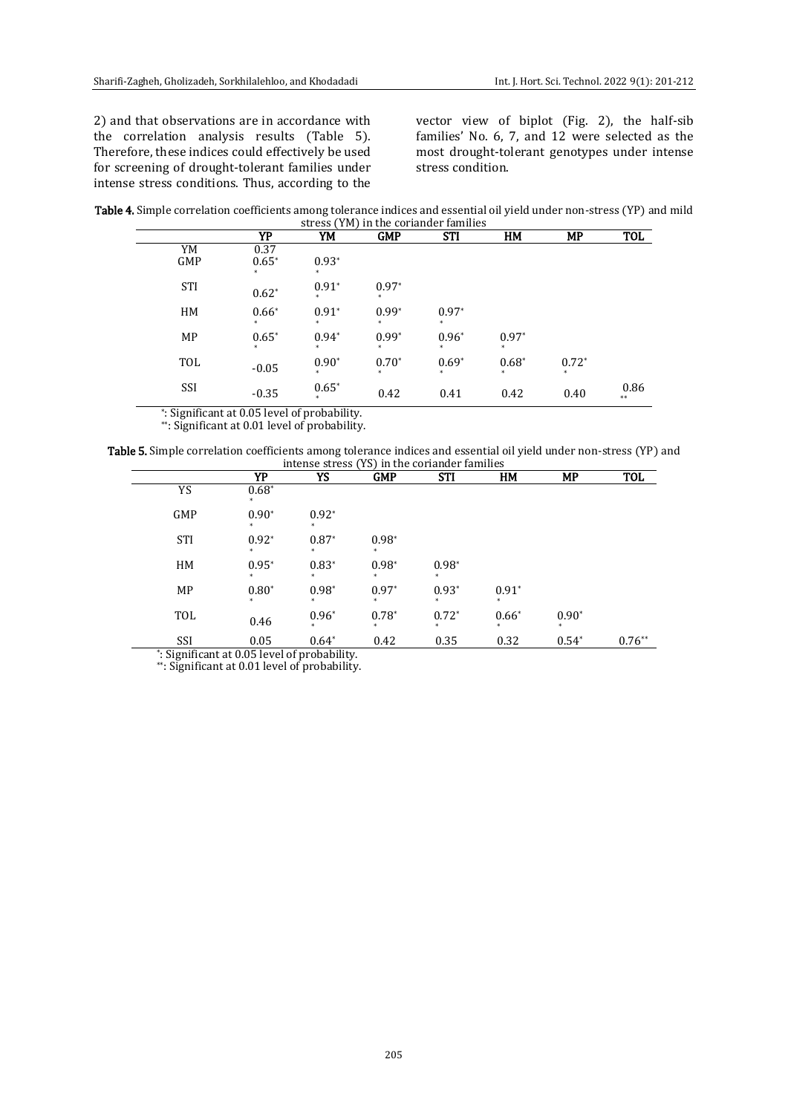2) and that observations are in accordance with the correlation analysis results (Table 5). Therefore, these indices could effectively be used for screening of drought-tolerant families under intense stress conditions. Thus, according to the vector view of biplot (Fig. 2), the half-sib families' No. 6, 7, and 12 were selected as the most drought-tolerant genotypes under intense stress condition.

| Table 4. Simple correlation coefficients among tolerance indices and essential oil yield under non-stress (YP) and mild |  |
|-------------------------------------------------------------------------------------------------------------------------|--|
| stress (YM) in the coriander families                                                                                   |  |

|            | YP                | YM      | <b>GMP</b>        | <b>STI</b>     | HM                | MP             | <b>TOL</b> |
|------------|-------------------|---------|-------------------|----------------|-------------------|----------------|------------|
| YM         | 0.37              |         |                   |                |                   |                |            |
| GMP        | $0.65*$<br>$\ast$ | $0.93*$ |                   |                |                   |                |            |
| <b>STI</b> | $0.62*$           | $0.91*$ | $0.97*$           |                |                   |                |            |
| HM         | $0.66*$<br>*      | $0.91*$ | $0.99*$<br>$\ast$ | $0.97*$<br>$*$ |                   |                |            |
| MP         | $0.65*$<br>$*$    | $0.94*$ | $0.99*$<br>$*$    | $0.96*$<br>$*$ | $0.97*$<br>*      |                |            |
| TOL        | $-0.05$           | $0.90*$ | $0.70*$<br>$*$    | $0.69*$<br>$*$ | $0.68*$<br>$\ast$ | $0.72*$<br>$*$ |            |
| SSI        | $-0.35$           | $0.65*$ | 0.42              | 0.41           | 0.42              | 0.40           | 0.86<br>** |

\* : Significant at 0.05 level of probability.

\*\*: Significant at 0.01 level of probability.

Table 5. Simple correlation coefficients among tolerance indices and essential oil yield under non-stress (YP) and intense stress (YS) in the coriander families

|            | YP                                           | YS                | <b>GMP</b> | <b>STI</b>        | <b>HM</b>    | MP      | TOL      |
|------------|----------------------------------------------|-------------------|------------|-------------------|--------------|---------|----------|
| YS         | $0.68*$                                      |                   |            |                   |              |         |          |
| GMP        | $0.90*$                                      | $0.92*$           |            |                   |              |         |          |
| <b>STI</b> | $0.92*$                                      | $0.87*$           | $0.98*$    |                   |              |         |          |
| HM         | $0.95*$                                      | $0.83*$           | $0.98*$    | $0.98*$<br>*      |              |         |          |
| MP         | $0.80*$                                      | $0.98*$           | $0.97*$    | $0.93*$           | $0.91*$      |         |          |
| TOL        | 0.46                                         | $0.96*$<br>$\ast$ | $0.78*$    | $0.72*$<br>$\ast$ | $0.66*$<br>* | $0.90*$ |          |
| SSI        | 0.05                                         | $0.64*$           | 0.42       | 0.35              | 0.32         | $0.54*$ | $0.76**$ |
|            | *: Significant at 0.05 level of probability. |                   |            |                   |              |         |          |

\*\*: Significant at 0.01 level of probability.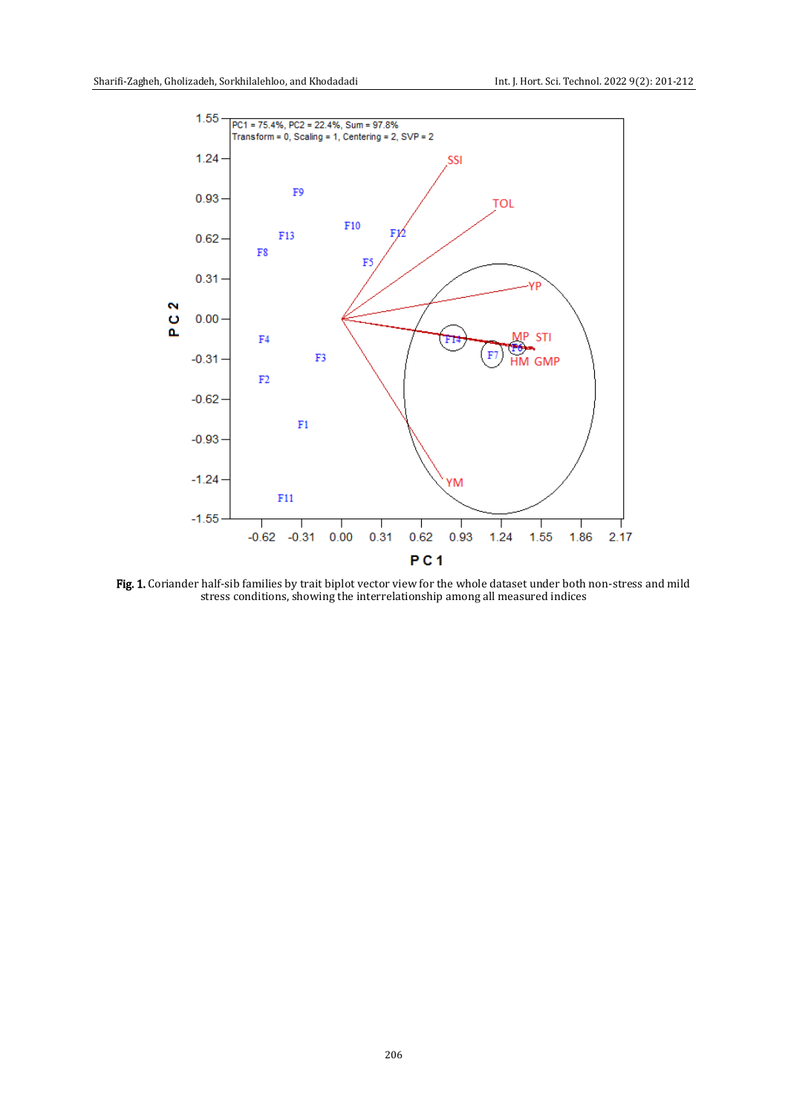

Fig. 1. Coriander half-sib families by trait biplot vector view for the whole dataset under both non-stress and mild stress conditions, showing the interrelationship among all measured indices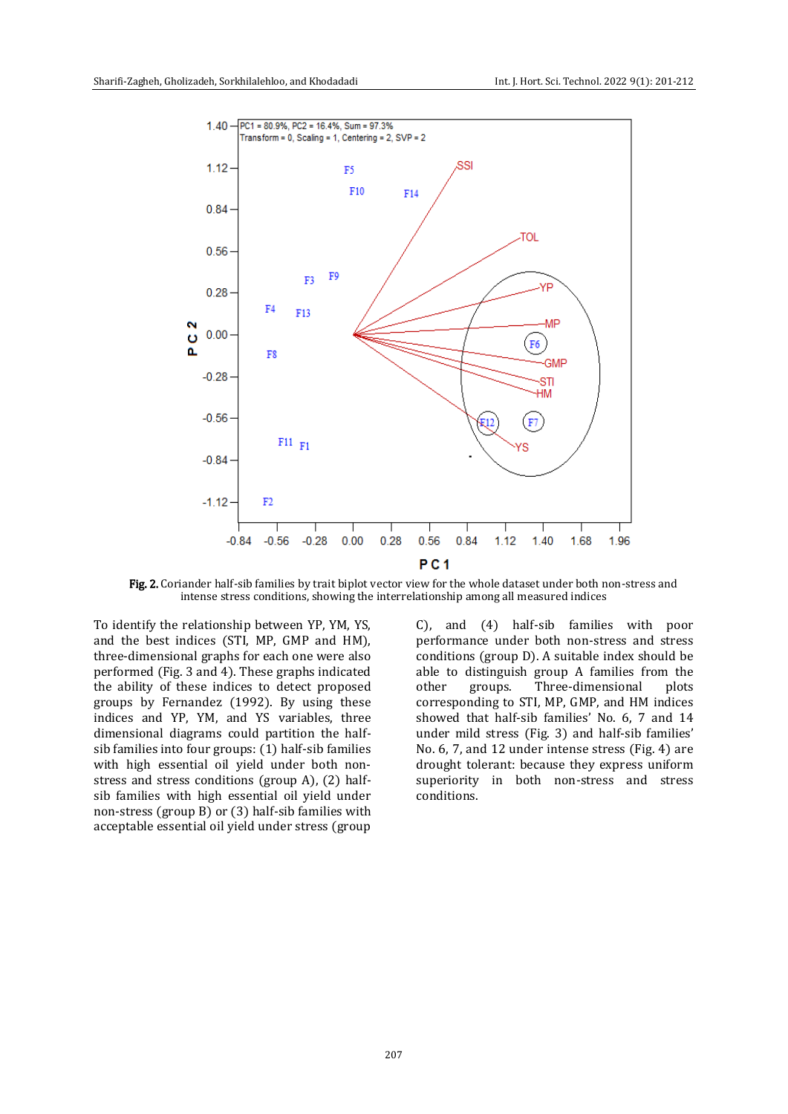

Fig. 2. Coriander half-sib families by trait biplot vector view for the whole dataset under both non-stress and intense stress conditions, showing the interrelationship among all measured indices

To identify the relationship between YP, YM, YS, and the best indices (STI, MP, GMP and HM), three-dimensional graphs for each one were also performed (Fig. 3 and 4). These graphs indicated the ability of these indices to detect proposed groups by Fernandez (1992). By using these indices and YP, YM, and YS variables, three dimensional diagrams could partition the halfsib families into four groups:  $(1)$  half-sib families with high essential oil yield under both nonstress and stress conditions (group A), (2) halfsib families with high essential oil yield under non-stress (group B) or (3) half-sib families with acceptable essential oil yield under stress (group

C), and (4) half-sib families with poor performance under both non-stress and stress conditions (group D). A suitable index should be able to distinguish group A families from the other groups. Three-dimensional plots corresponding to STI, MP, GMP, and HM indices showed that half-sib families' No. 6, 7 and 14 under mild stress (Fig. 3) and half-sib families' No. 6, 7, and 12 under intense stress (Fig. 4) are drought tolerant: because they express uniform superiority in both non-stress and stress conditions.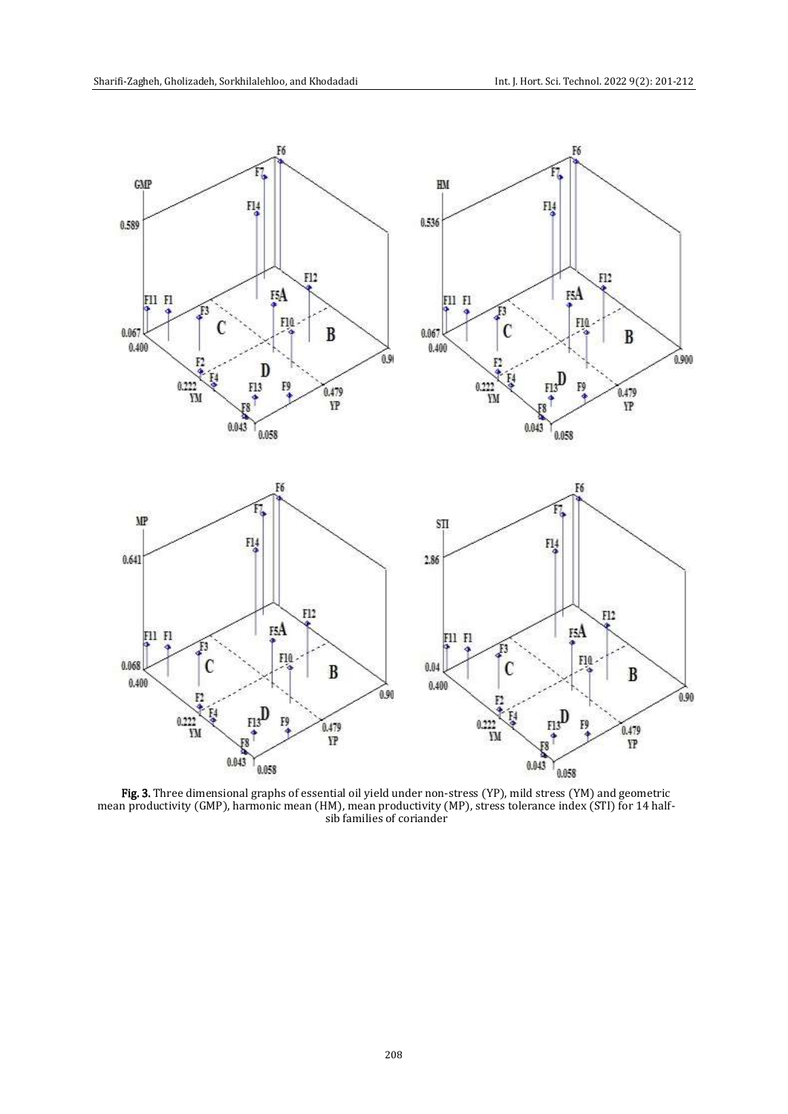

Fig. 3. Three dimensional graphs of essential oil yield under non-stress (YP), mild stress (YM) and geometric mean productivity (GMP), harmonic mean (HM), mean productivity (MP), stress tolerance index (STI) for 14 halfsib families of coriander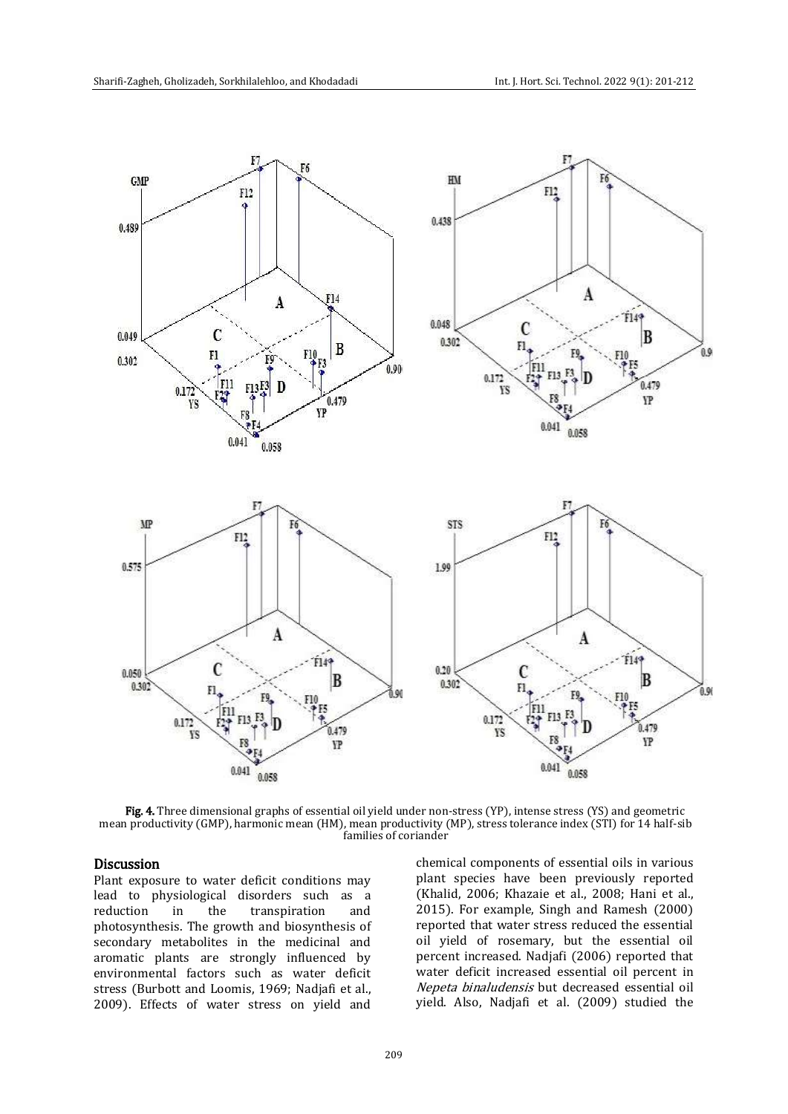

Fig. 4. Three dimensional graphs of essential oil yield under non-stress (YP), intense stress (YS) and geometric mean productivity (GMP), harmonic mean (HM), mean productivity (MP), stress tolerance index (STI) for 14 half-sib families of coriander

# Discussion

Plant exposure to water deficit conditions may lead to physiological disorders such as a reduction in the transpiration and photosynthesis. The growth and biosynthesis of secondary metabolites in the medicinal and aromatic plants are strongly influenced by environmental factors such as water deficit stress (Burbott and Loomis, 1969; Nadjafi et al., 2009). Effects of water stress on yield and chemical components of essential oils in various plant species have been previously reported (Khalid, 2006; Khazaie et al., 2008; Hani et al., 2015). For example, Singh and Ramesh (2000) reported that water stress reduced the essential oil yield of rosemary, but the essential oil percent increased. Nadjafi (2006) reported that water deficit increased essential oil percent in Nepeta binaludensis but decreased essential oil yield. Also, Nadjafi et al. (2009) studied the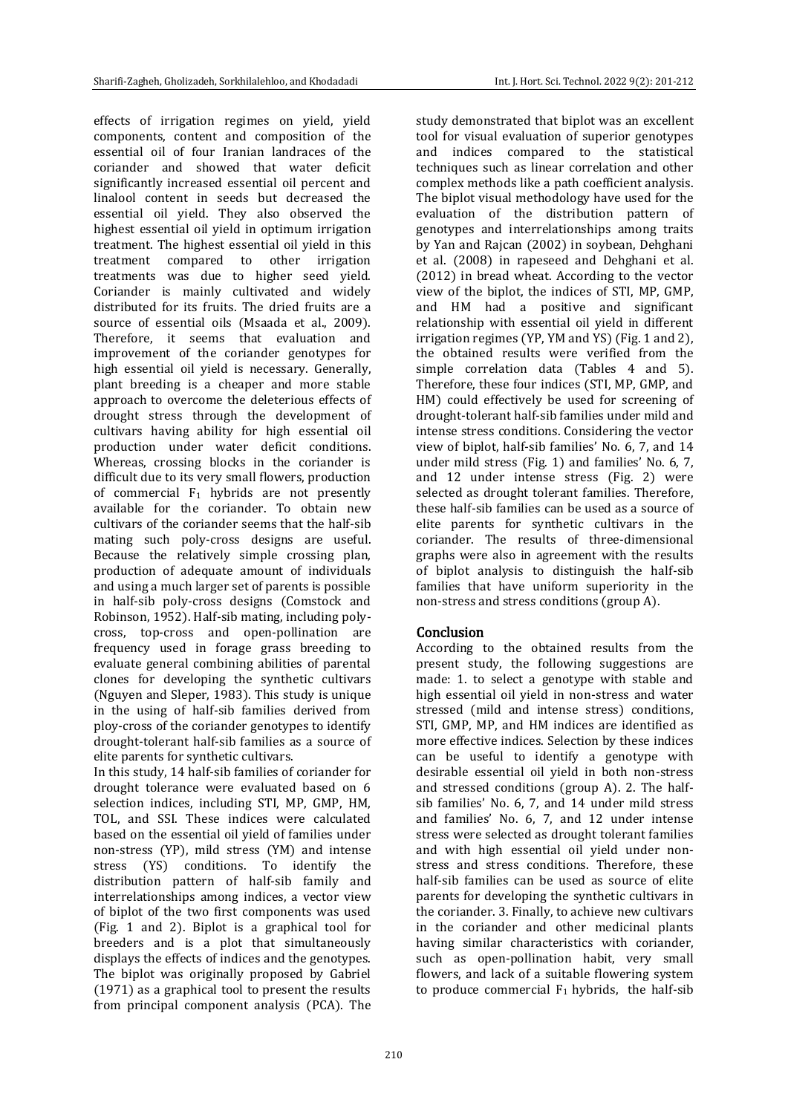effects of irrigation regimes on yield, yield components, content and composition of the essential oil of four Iranian landraces of the coriander and showed that water deficit significantly increased essential oil percent and linalool content in seeds but decreased the essential oil yield. They also observed the highest essential oil yield in optimum irrigation treatment. The highest essential oil yield in this treatment compared to other irrigation treatments was due to higher seed yield. Coriander is mainly cultivated and widely distributed for its fruits. The dried fruits are a source of essential oils (Msaada et al., 2009). Therefore, it seems that evaluation and improvement of the coriander genotypes for high essential oil yield is necessary. Generally, plant breeding is a cheaper and more stable approach to overcome the deleterious effects of drought stress through the development of cultivars having ability for high essential oil production under water deficit conditions. Whereas, crossing blocks in the coriander is difficult due to its very small flowers, production of commercial  $F_1$  hybrids are not presently available for the coriander. To obtain new cultivars of the coriander seems that the half-sib mating such poly-cross designs are useful. Because the relatively simple crossing plan, production of adequate amount of individuals and using a much larger set of parents is possible in half-sib poly-cross designs (Comstock and Robinson, 1952). Half-sib mating, including polycross, top-cross and open-pollination are frequency used in forage grass breeding to evaluate general combining abilities of parental clones for developing the synthetic cultivars (Nguyen and Sleper, 1983). This study is unique in the using of half-sib families derived from ploy-cross of the coriander genotypes to identify drought-tolerant half-sib families as a source of elite parents for synthetic cultivars.

In this study, 14 half-sib families of coriander for drought tolerance were evaluated based on 6 selection indices, including STI, MP, GMP, HM, TOL, and SSI. These indices were calculated based on the essential oil yield of families under non-stress (YP), mild stress (YM) and intense stress (YS) conditions. To identify the distribution pattern of half-sib family and interrelationships among indices, a vector view of biplot of the two first components was used (Fig. 1 and 2). Biplot is a graphical tool for breeders and is a plot that simultaneously displays the effects of indices and the genotypes. The biplot was originally proposed by Gabriel (1971) as a graphical tool to present the results from principal component analysis (PCA). The study demonstrated that biplot was an excellent tool for visual evaluation of superior genotypes and indices compared to the statistical techniques such as linear correlation and other complex methods like a path coefficient analysis. The biplot visual methodology have used for the evaluation of the distribution pattern of genotypes and interrelationships among traits by Yan and Rajcan (2002) in soybean, Dehghani et al. (2008) in rapeseed and Dehghani et al. (2012) in bread wheat. According to the vector view of the biplot, the indices of STI, MP, GMP, and HM had a positive and significant relationship with essential oil yield in different irrigation regimes (YP, YM and YS) (Fig. 1 and 2), the obtained results were verified from the simple correlation data (Tables 4 and 5). Therefore, these four indices (STI, MP, GMP, and HM) could effectively be used for screening of drought-tolerant half-sib families under mild and intense stress conditions. Considering the vector view of biplot, half-sib families' No. 6, 7, and 14 under mild stress (Fig. 1) and families' No. 6, 7, and 12 under intense stress (Fig. 2) were selected as drought tolerant families. Therefore, these half-sib families can be used as a source of elite parents for synthetic cultivars in the coriander. The results of three-dimensional graphs were also in agreement with the results of biplot analysis to distinguish the half-sib families that have uniform superiority in the non-stress and stress conditions (group A).

# Conclusion

According to the obtained results from the present study, the following suggestions are made: 1. to select a genotype with stable and high essential oil yield in non-stress and water stressed (mild and intense stress) conditions, STI, GMP, MP, and HM indices are identified as more effective indices. Selection by these indices can be useful to identify a genotype with desirable essential oil yield in both non-stress and stressed conditions (group A). 2. The halfsib families' No. 6, 7, and 14 under mild stress and families' No. 6, 7, and 12 under intense stress were selected as drought tolerant families and with high essential oil yield under nonstress and stress conditions. Therefore, these half-sib families can be used as source of elite parents for developing the synthetic cultivars in the coriander. 3. Finally, to achieve new cultivars in the coriander and other medicinal plants having similar characteristics with coriander, such as open-pollination habit, very small flowers, and lack of a suitable flowering system to produce commercial  $F_1$  hybrids, the half-sib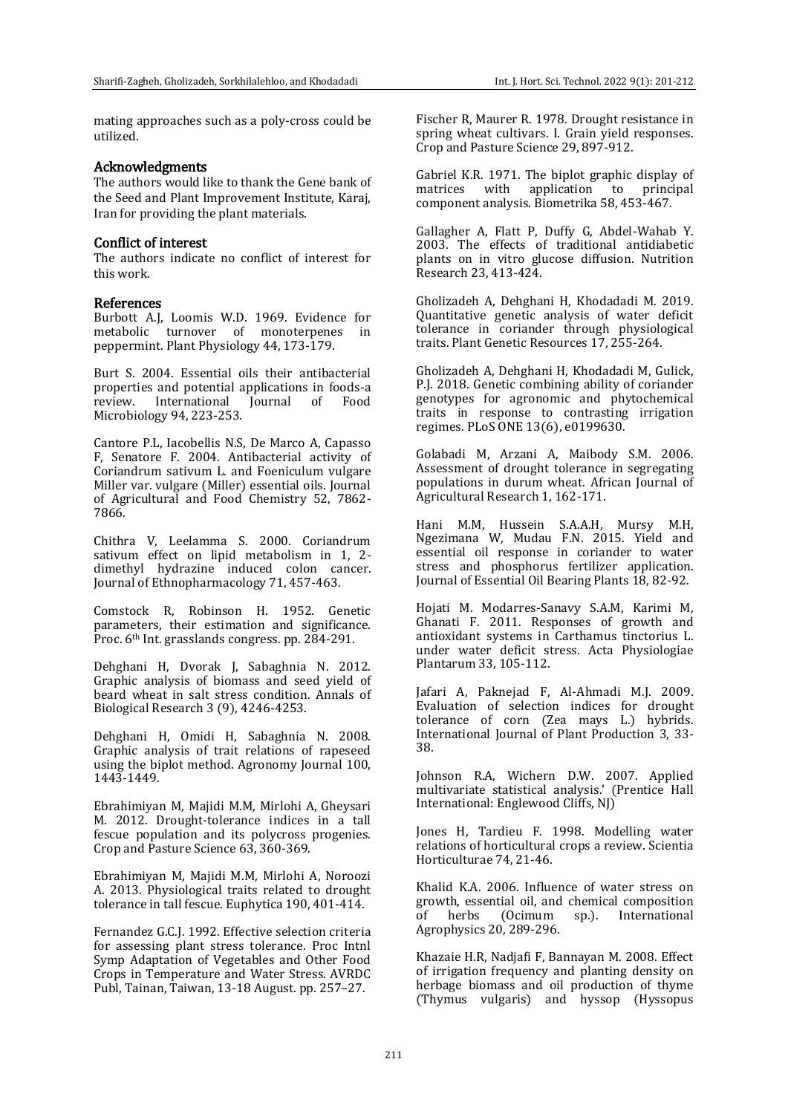mating approaches such as a poly-cross could be utilized.

#### Acknowledgments

The authors would like to thank the Gene bank of the Seed and Plant Improvement Institute, Karaj, Iran for providing the plant materials.

## Conflict of interest

The authors indicate no conflict of interest for this work.

#### References

Burbott A.J, Loomis W.D. 1969. Evidence for metabolic turnover of monoterpenes in peppermint. Plant Physiology 44, 173-179.

Burt S. 2004. Essential oils their antibacterial properties and potential applications in foods-a review. International Iournal of Food Microbiology 94, 223-253.

Cantore P.L, Iacobellis N.S, De Marco A, Capasso F, Senatore F. 2004. Antibacterial activity of Coriandrum sativum L. and Foeniculum vulgare Miller var. vulgare (Miller) essential oils. Journal of Agricultural and Food Chemistry 52, 7862- 7866.

Chithra V, Leelamma S. 2000. Coriandrum sativum effect on lipid metabolism in 1, 2 dimethyl hydrazine induced colon cancer. Journal of Ethnopharmacology 71, 457-463.

Comstock R, Robinson H. 1952. Genetic parameters, their estimation and significance. Proc. 6<sup>th</sup> Int. grasslands congress. pp. 284-291.

Dehghani H, Dvorak J, Sabaghnia N. 2012. Graphic analysis of biomass and seed yield of beard wheat in salt stress condition. Annals of Biological Research 3 (9), 4246-4253.

Dehghani H, Omidi H, Sabaghnia N. 2008. Graphic analysis of trait relations of rapeseed using the biplot method. Agronomy Journal 100, 1443-1449.

Ebrahimiyan M, Majidi M.M, Mirlohi A, Gheysari M. 2012. Drought-tolerance indices in a tall fescue population and its polycross progenies. Crop and Pasture Science 63, 360-369.

Ebrahimiyan M, Majidi M.M, Mirlohi A, Noroozi A. 2013. Physiological traits related to drought tolerance in tall fescue. Euphytica 190, 401-414.

Fernandez G.C.J. 1992. Effective selection criteria for assessing plant stress tolerance. Proc Intnl Symp Adaptation of Vegetables and Other Food Crops in Temperature and Water Stress. AVRDC Publ, Tainan, Taiwan, 13-18 August. pp. 257–27.

Fischer R, Maurer R. 1978. Drought resistance in spring wheat cultivars. I. Grain yield responses. Crop and Pasture Science 29, 897-912.

Gabriel K.R. 1971. The biplot graphic display of matrices with application to principal component analysis. Biometrika 58, 453-467.

Gallagher A, Flatt P, Duffy G, Abdel-Wahab Y. 2003. The effects of traditional antidiabetic plants on in vitro glucose diffusion. Nutrition Research 23, 413-424.

Gholizadeh A, Dehghani H, Khodadadi M. 2019. Quantitative genetic analysis of water deficit tolerance in coriander through physiological traits. Plant Genetic Resources 17, 255-264.

Gholizadeh A, Dehghani H, Khodadadi M, Gulick, P.J. 2018. Genetic combining ability of coriander genotypes for agronomic and phytochemical traits in response to contrasting irrigation regimes. PLoS ONE 13(6), e0199630.

Golabadi M, Arzani A, Maibody S.M. 2006. Assessment of drought tolerance in segregating populations in durum wheat. African Journal of Agricultural Research 1, 162-171.

Hani M.M, Hussein S.A.A.H, Mursy M.H, Ngezimana W, Mudau F.N. 2015. Yield and essential oil response in coriander to water stress and phosphorus fertilizer application. Journal of Essential Oil Bearing Plants 18, 82-92.

Hojati M. Modarres-Sanavy S.A.M, Karimi M, Ghanati F. 2011. Responses of growth and antioxidant systems in Carthamus tinctorius L. under water deficit stress. Acta Physiologiae Plantarum 33, 105-112.

Jafari A, Paknejad F, Al-Ahmadi M.J. 2009. Evaluation of selection indices for drought tolerance of corn (Zea mays L.) hybrids. International Journal of Plant Production 3, 33- 38.

Johnson R.A, Wichern D.W. 2007. Applied multivariate statistical analysis.' (Prentice Hall International: Englewood Cliffs, NJ)

Jones H, Tardieu F. 1998. Modelling water relations of horticultural crops a review. Scientia Horticulturae 74, 21-46.

Khalid K.A. 2006. Influence of water stress on growth, essential oil, and chemical composition of herbs (Ocimum sp.). International Agrophysics 20, 289-296.

Khazaie H.R, Nadjafi F, Bannayan M. 2008. Effect of irrigation frequency and planting density on herbage biomass and oil production of thyme (Thymus vulgaris) and hyssop (Hyssopus